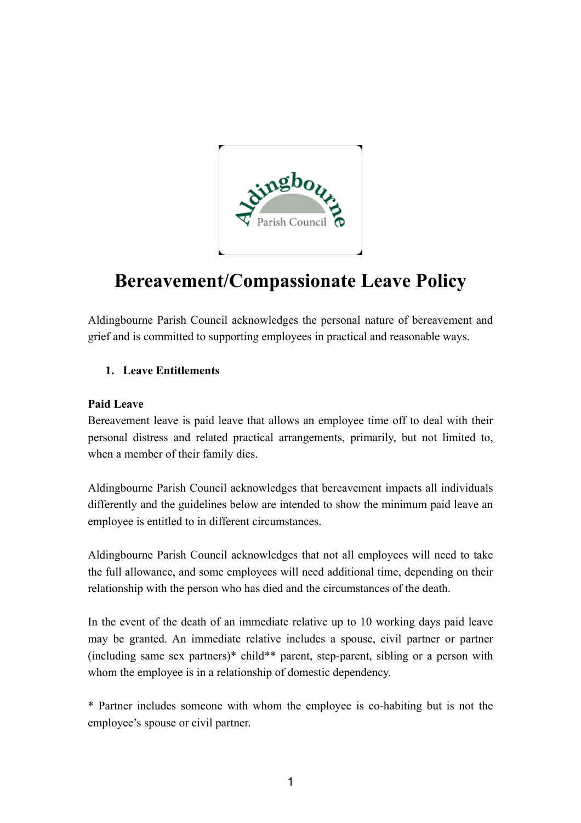

# **Bereavement/Compassionate Leave Policy**

Aldingbourne Parish Council acknowledges the personal nature of bereavement and grief and is committed to supporting employees in practical and reasonable ways.

## **1. Leave Entitlements**

#### **Paid Leave**

Bereavement leave is paid leave that allows an employee time off to deal with their personal distress and related practical arrangements, primarily, but not limited to, when a member of their family dies.

Aldingbourne Parish Council acknowledges that bereavement impacts all individuals differently and the guidelines below are intended to show the minimum paid leave an employee is entitled to in different circumstances.

Aldingbourne Parish Council acknowledges that not all employees will need to take the full allowance, and some employees will need additional time, depending on their relationship with the person who has died and the circumstances of the death.

In the event of the death of an immediate relative up to 10 working days paid leave may be granted. An immediate relative includes a spouse, civil partner or partner (including same sex partners)\* child\*\* parent, step-parent, sibling or a person with whom the employee is in a relationship of domestic dependency.

\* Partner includes someone with whom the employee is co-habiting but is not the employee's spouse or civil partner.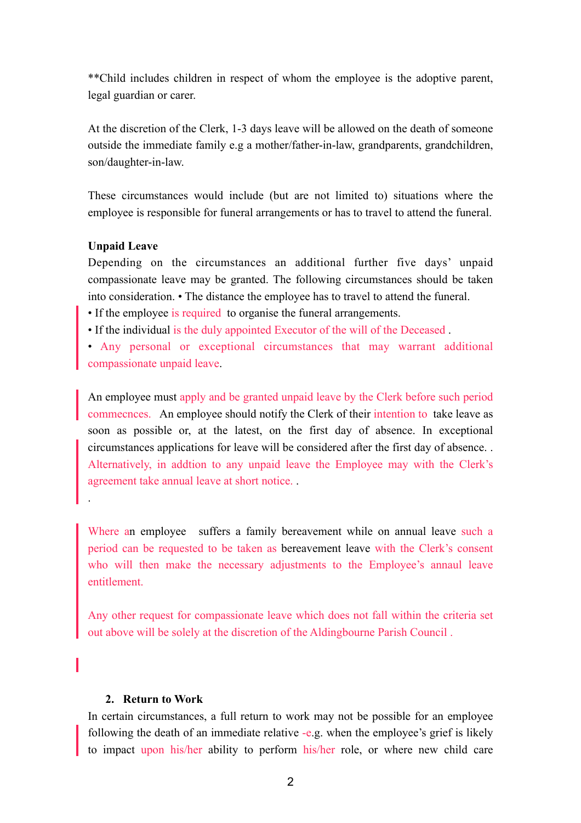\*\*Child includes children in respect of whom the employee is the adoptive parent, legal guardian or carer.

At the discretion of the Clerk, 1-3 days leave will be allowed on the death of someone outside the immediate family e.g a mother/father-in-law, grandparents, grandchildren, son/daughter-in-law.

These circumstances would include (but are not limited to) situations where the employee is responsible for funeral arrangements or has to travel to attend the funeral.

#### **Unpaid Leave**

.

Depending on the circumstances an additional further five days' unpaid compassionate leave may be granted. The following circumstances should be taken into consideration. • The distance the employee has to travel to attend the funeral.

• If the employee is required to organise the funeral arrangements.

• If the individual is the duly appointed Executor of the will of the Deceased .

• Any personal or exceptional circumstances that may warrant additional compassionate unpaid leave.

An employee must apply and be granted unpaid leave by the Clerk before such period commecnces. An employee should notify the Clerk of their intention to take leave as soon as possible or, at the latest, on the first day of absence. In exceptional circumstances applications for leave will be considered after the first day of absence. . Alternatively, in addtion to any unpaid leave the Employee may with the Clerk's agreement take annual leave at short notice. .

Where an employee suffers a family bereavement while on annual leave such a period can be requested to be taken as bereavement leave with the Clerk's consent who will then make the necessary adjustments to the Employee's annaul leave entitlement.

Any other request for compassionate leave which does not fall within the criteria set out above will be solely at the discretion of the Aldingbourne Parish Council .

#### **2. Return to Work**

In certain circumstances, a full return to work may not be possible for an employee following the death of an immediate relative -e.g. when the employee's grief is likely to impact upon his/her ability to perform his/her role, or where new child care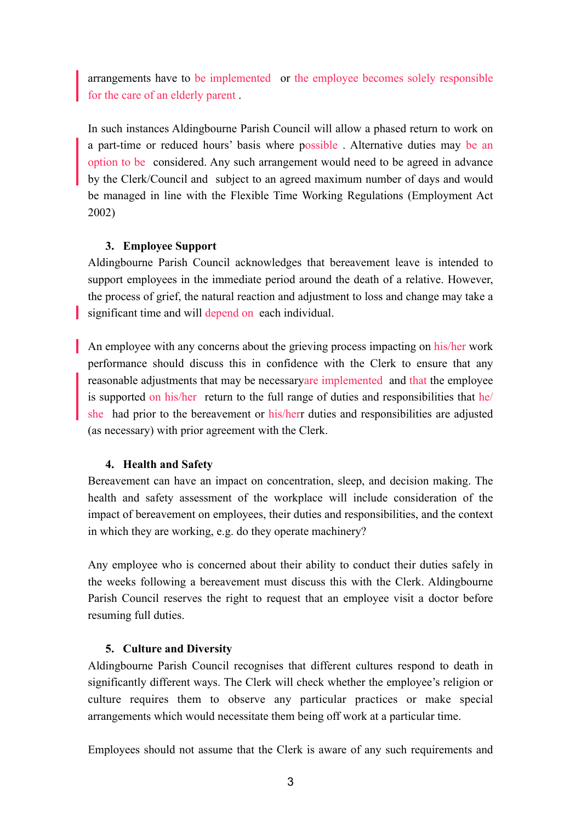arrangements have to be implemented or the employee becomes solely responsible for the care of an elderly parent .

In such instances Aldingbourne Parish Council will allow a phased return to work on a part-time or reduced hours' basis where possible . Alternative duties may be an option to be considered. Any such arrangement would need to be agreed in advance by the Clerk/Council and subject to an agreed maximum number of days and would be managed in line with the Flexible Time Working Regulations (Employment Act 2002)

### **3. Employee Support**

Aldingbourne Parish Council acknowledges that bereavement leave is intended to support employees in the immediate period around the death of a relative. However, the process of grief, the natural reaction and adjustment to loss and change may take a significant time and will depend on each individual.

An employee with any concerns about the grieving process impacting on his/her work performance should discuss this in confidence with the Clerk to ensure that any reasonable adjustments that may be necessaryare implemented and that the employee is supported on his/her return to the full range of duties and responsibilities that he/ she had prior to the bereavement or his/herr duties and responsibilities are adjusted (as necessary) with prior agreement with the Clerk.

#### **4. Health and Safety**

Bereavement can have an impact on concentration, sleep, and decision making. The health and safety assessment of the workplace will include consideration of the impact of bereavement on employees, their duties and responsibilities, and the context in which they are working, e.g. do they operate machinery?

Any employee who is concerned about their ability to conduct their duties safely in the weeks following a bereavement must discuss this with the Clerk. Aldingbourne Parish Council reserves the right to request that an employee visit a doctor before resuming full duties.

#### **5. Culture and Diversity**

Aldingbourne Parish Council recognises that different cultures respond to death in significantly different ways. The Clerk will check whether the employee's religion or culture requires them to observe any particular practices or make special arrangements which would necessitate them being off work at a particular time.

Employees should not assume that the Clerk is aware of any such requirements and